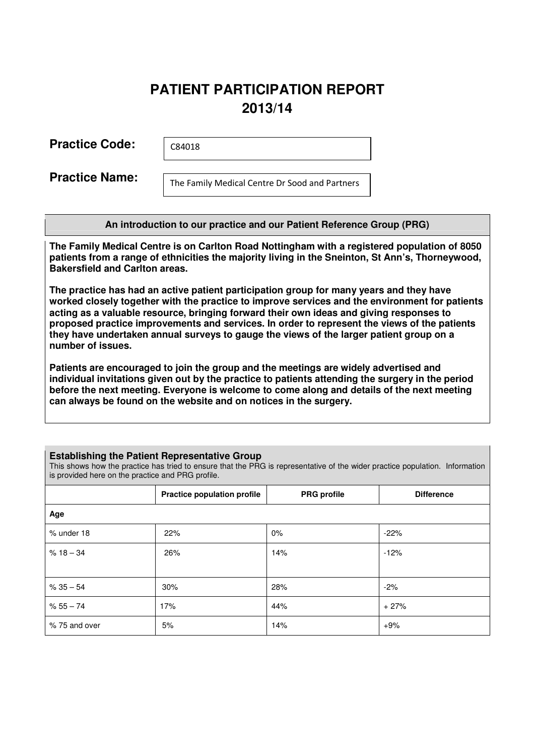# **PATIENT PARTICIPATION REPORT 2013/14**

**Practice Code:** 

C84018

**Practice Name:** 

The Family Medical Centre Dr Sood and Partners

# **An introduction to our practice and our Patient Reference Group (PRG)**

**The Family Medical Centre is on Carlton Road Nottingham with a registered population of 8050 patients from a range of ethnicities the majority living in the Sneinton, St Ann's, Thorneywood, Bakersfield and Carlton areas.** 

**The practice has had an active patient participation group for many years and they have worked closely together with the practice to improve services and the environment for patients acting as a valuable resource, bringing forward their own ideas and giving responses to proposed practice improvements and services. In order to represent the views of the patients they have undertaken annual surveys to gauge the views of the larger patient group on a number of issues.** 

**Patients are encouraged to join the group and the meetings are widely advertised and individual invitations given out by the practice to patients attending the surgery in the period before the next meeting. Everyone is welcome to come along and details of the next meeting can always be found on the website and on notices in the surgery.** 

## **Establishing the Patient Representative Group**

This shows how the practice has tried to ensure that the PRG is representative of the wider practice population. Information is provided here on the practice and PRG profile.

|               | <b>Practice population profile</b> | <b>PRG</b> profile | <b>Difference</b> |  |  |
|---------------|------------------------------------|--------------------|-------------------|--|--|
| Age           |                                    |                    |                   |  |  |
| % under 18    | 22%                                | $0\%$              | $-22%$            |  |  |
| $%18 - 34$    | 26%                                | 14%                | $-12%$            |  |  |
|               |                                    |                    |                   |  |  |
| $% 35 - 54$   | 30%                                | 28%                | $-2%$             |  |  |
| $% 55 - 74$   | 17%                                | 44%                | $+27%$            |  |  |
| % 75 and over | 5%                                 | 14%                | $+9%$             |  |  |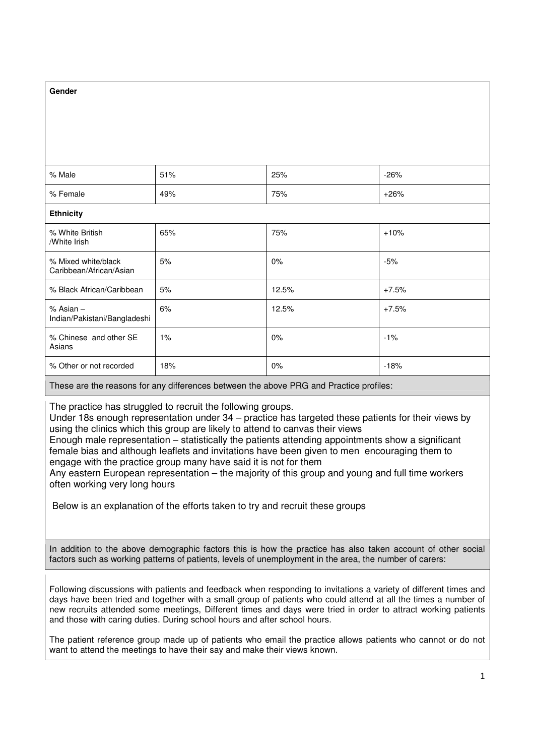| Gender                                                                                                                                                                                                                                                                                                                                                                                                                                                  |       |       |         |  |
|---------------------------------------------------------------------------------------------------------------------------------------------------------------------------------------------------------------------------------------------------------------------------------------------------------------------------------------------------------------------------------------------------------------------------------------------------------|-------|-------|---------|--|
|                                                                                                                                                                                                                                                                                                                                                                                                                                                         |       |       |         |  |
|                                                                                                                                                                                                                                                                                                                                                                                                                                                         |       |       |         |  |
| % Male                                                                                                                                                                                                                                                                                                                                                                                                                                                  | 51%   | 25%   | $-26%$  |  |
| % Female                                                                                                                                                                                                                                                                                                                                                                                                                                                | 49%   | 75%   | $+26%$  |  |
| <b>Ethnicity</b>                                                                                                                                                                                                                                                                                                                                                                                                                                        |       |       |         |  |
| % White British<br>/White Irish                                                                                                                                                                                                                                                                                                                                                                                                                         | 65%   | 75%   | $+10%$  |  |
| % Mixed white/black<br>Caribbean/African/Asian                                                                                                                                                                                                                                                                                                                                                                                                          | 5%    | 0%    | $-5%$   |  |
| % Black African/Caribbean                                                                                                                                                                                                                                                                                                                                                                                                                               | 5%    | 12.5% | $+7.5%$ |  |
| $%$ Asian $-$<br>Indian/Pakistani/Bangladeshi                                                                                                                                                                                                                                                                                                                                                                                                           | 6%    | 12.5% | $+7.5%$ |  |
| % Chinese and other SE<br>Asians                                                                                                                                                                                                                                                                                                                                                                                                                        | $1\%$ | $0\%$ | $-1%$   |  |
| % Other or not recorded                                                                                                                                                                                                                                                                                                                                                                                                                                 | 18%   | $0\%$ | $-18%$  |  |
| These are the reasons for any differences between the above PRG and Practice profiles:                                                                                                                                                                                                                                                                                                                                                                  |       |       |         |  |
| The practice has struggled to recruit the following groups.<br>Under 18s enough representation under 34 - practice has targeted these patients for their views by<br>using the clinics which this group are likely to attend to canvas their views<br>Enough male representation – statistically the patients attending appointments show a significant<br>female bias and although leaflets and invitations have been given to men encouraging them to |       |       |         |  |

engage with the practice group many have said it is not for them

Any eastern European representation – the majority of this group and young and full time workers often working very long hours

Below is an explanation of the efforts taken to try and recruit these groups

In addition to the above demographic factors this is how the practice has also taken account of other social factors such as working patterns of patients, levels of unemployment in the area, the number of carers:

Following discussions with patients and feedback when responding to invitations a variety of different times and days have been tried and together with a small group of patients who could attend at all the times a number of new recruits attended some meetings, Different times and days were tried in order to attract working patients and those with caring duties. During school hours and after school hours.

The patient reference group made up of patients who email the practice allows patients who cannot or do not want to attend the meetings to have their say and make their views known.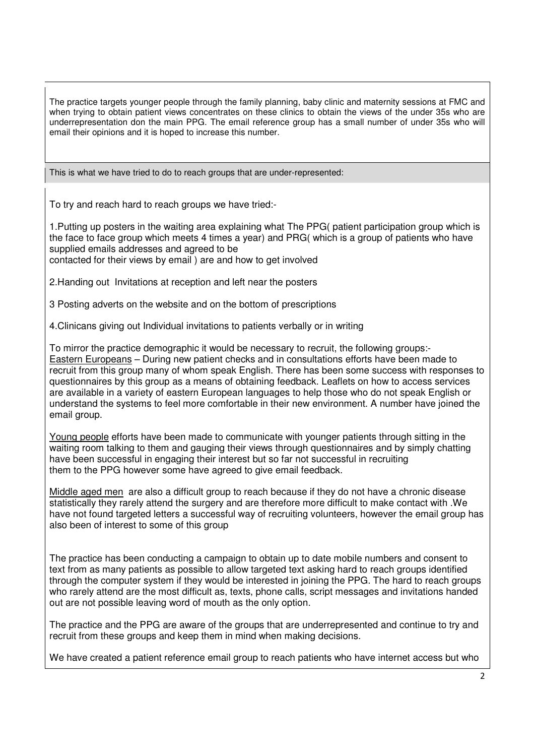The practice targets younger people through the family planning, baby clinic and maternity sessions at FMC and when trying to obtain patient views concentrates on these clinics to obtain the views of the under 35s who are underrepresentation don the main PPG. The email reference group has a small number of under 35s who will email their opinions and it is hoped to increase this number.

This is what we have tried to do to reach groups that are under-represented:

To try and reach hard to reach groups we have tried:-

1.Putting up posters in the waiting area explaining what The PPG( patient participation group which is the face to face group which meets 4 times a year) and PRG( which is a group of patients who have supplied emails addresses and agreed to be contacted for their views by email ) are and how to get involved

2.Handing out Invitations at reception and left near the posters

3 Posting adverts on the website and on the bottom of prescriptions

4.Clinicans giving out Individual invitations to patients verbally or in writing

To mirror the practice demographic it would be necessary to recruit, the following groups:- Eastern Europeans – During new patient checks and in consultations efforts have been made to recruit from this group many of whom speak English. There has been some success with responses to questionnaires by this group as a means of obtaining feedback. Leaflets on how to access services are available in a variety of eastern European languages to help those who do not speak English or understand the systems to feel more comfortable in their new environment. A number have joined the email group.

Young people efforts have been made to communicate with younger patients through sitting in the waiting room talking to them and gauging their views through questionnaires and by simply chatting have been successful in engaging their interest but so far not successful in recruiting them to the PPG however some have agreed to give email feedback.

Middle aged men are also a difficult group to reach because if they do not have a chronic disease statistically they rarely attend the surgery and are therefore more difficult to make contact with .We have not found targeted letters a successful way of recruiting volunteers, however the email group has also been of interest to some of this group

The practice has been conducting a campaign to obtain up to date mobile numbers and consent to text from as many patients as possible to allow targeted text asking hard to reach groups identified through the computer system if they would be interested in joining the PPG. The hard to reach groups who rarely attend are the most difficult as, texts, phone calls, script messages and invitations handed out are not possible leaving word of mouth as the only option.

The practice and the PPG are aware of the groups that are underrepresented and continue to try and recruit from these groups and keep them in mind when making decisions.

We have created a patient reference email group to reach patients who have internet access but who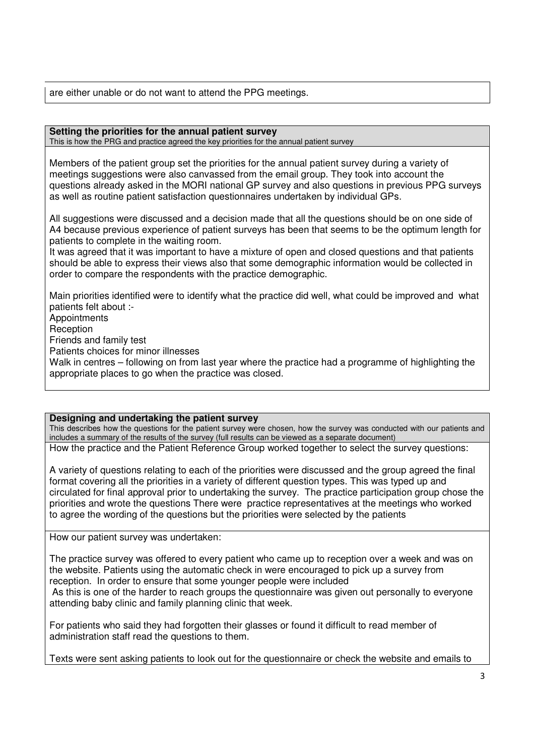are either unable or do not want to attend the PPG meetings.

# **Setting the priorities for the annual patient survey**

This is how the PRG and practice agreed the key priorities for the annual patient survey

Members of the patient group set the priorities for the annual patient survey during a variety of meetings suggestions were also canvassed from the email group. They took into account the questions already asked in the MORI national GP survey and also questions in previous PPG surveys as well as routine patient satisfaction questionnaires undertaken by individual GPs.

All suggestions were discussed and a decision made that all the questions should be on one side of A4 because previous experience of patient surveys has been that seems to be the optimum length for patients to complete in the waiting room.

It was agreed that it was important to have a mixture of open and closed questions and that patients should be able to express their views also that some demographic information would be collected in order to compare the respondents with the practice demographic.

Main priorities identified were to identify what the practice did well, what could be improved and what patients felt about :-

**Appointments** 

**Reception** 

Friends and family test

Patients choices for minor illnesses

Walk in centres – following on from last year where the practice had a programme of highlighting the appropriate places to go when the practice was closed.

## **Designing and undertaking the patient survey**

This describes how the questions for the patient survey were chosen, how the survey was conducted with our patients and includes a summary of the results of the survey (full results can be viewed as a separate document)

How the practice and the Patient Reference Group worked together to select the survey questions:

A variety of questions relating to each of the priorities were discussed and the group agreed the final format covering all the priorities in a variety of different question types. This was typed up and circulated for final approval prior to undertaking the survey. The practice participation group chose the priorities and wrote the questions There were practice representatives at the meetings who worked to agree the wording of the questions but the priorities were selected by the patients

How our patient survey was undertaken:

The practice survey was offered to every patient who came up to reception over a week and was on the website. Patients using the automatic check in were encouraged to pick up a survey from reception. In order to ensure that some younger people were included As this is one of the harder to reach groups the questionnaire was given out personally to everyone

attending baby clinic and family planning clinic that week.

For patients who said they had forgotten their glasses or found it difficult to read member of administration staff read the questions to them.

Texts were sent asking patients to look out for the questionnaire or check the website and emails to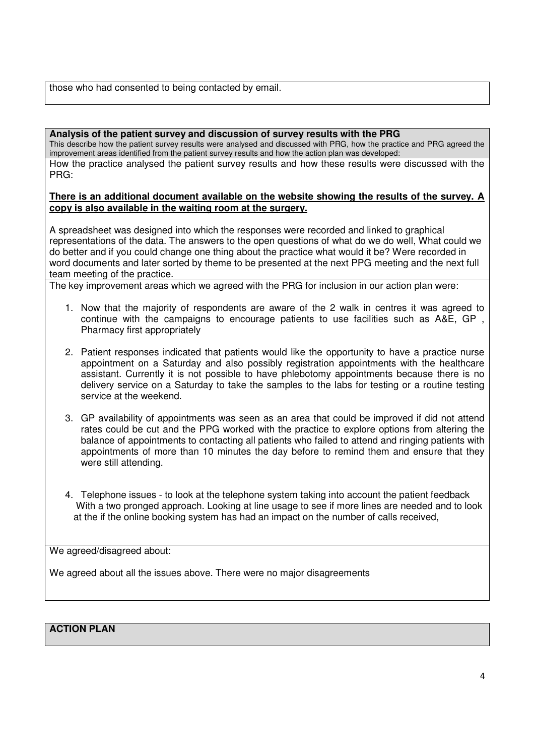those who had consented to being contacted by email.

#### **Analysis of the patient survey and discussion of survey results with the PRG**

This describe how the patient survey results were analysed and discussed with PRG, how the practice and PRG agreed the improvement areas identified from the patient survey results and how the action plan was developed:

How the practice analysed the patient survey results and how these results were discussed with the PRG:

#### **There is an additional document available on the website showing the results of the survey. A copy is also available in the waiting room at the surgery.**

A spreadsheet was designed into which the responses were recorded and linked to graphical representations of the data. The answers to the open questions of what do we do well, What could we do better and if you could change one thing about the practice what would it be? Were recorded in word documents and later sorted by theme to be presented at the next PPG meeting and the next full team meeting of the practice.

The key improvement areas which we agreed with the PRG for inclusion in our action plan were:

- 1. Now that the majority of respondents are aware of the 2 walk in centres it was agreed to continue with the campaigns to encourage patients to use facilities such as A&E, GP , Pharmacy first appropriately
- 2. Patient responses indicated that patients would like the opportunity to have a practice nurse appointment on a Saturday and also possibly registration appointments with the healthcare assistant. Currently it is not possible to have phlebotomy appointments because there is no delivery service on a Saturday to take the samples to the labs for testing or a routine testing service at the weekend.
- 3. GP availability of appointments was seen as an area that could be improved if did not attend rates could be cut and the PPG worked with the practice to explore options from altering the balance of appointments to contacting all patients who failed to attend and ringing patients with appointments of more than 10 minutes the day before to remind them and ensure that they were still attending.
- 4. Telephone issues to look at the telephone system taking into account the patient feedback With a two pronged approach. Looking at line usage to see if more lines are needed and to look at the if the online booking system has had an impact on the number of calls received,

We agreed/disagreed about:

We agreed about all the issues above. There were no major disagreements

# **ACTION PLAN**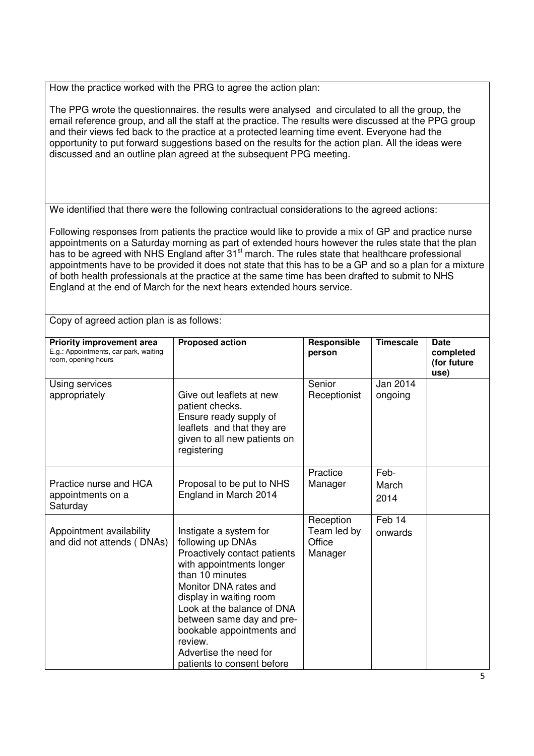How the practice worked with the PRG to agree the action plan:

The PPG wrote the questionnaires. the results were analysed and circulated to all the group, the email reference group, and all the staff at the practice. The results were discussed at the PPG group and their views fed back to the practice at a protected learning time event. Everyone had the opportunity to put forward suggestions based on the results for the action plan. All the ideas were discussed and an outline plan agreed at the subsequent PPG meeting.

We identified that there were the following contractual considerations to the agreed actions:

Following responses from patients the practice would like to provide a mix of GP and practice nurse appointments on a Saturday morning as part of extended hours however the rules state that the plan has to be agreed with NHS England after 31<sup>st</sup> march. The rules state that healthcare professional appointments have to be provided it does not state that this has to be a GP and so a plan for a mixture of both health professionals at the practice at the same time has been drafted to submit to NHS England at the end of March for the next hears extended hours service.

| <b>Priority improvement area</b><br>E.g.: Appointments, car park, waiting<br>room, opening hours | <b>Proposed action</b>                                                                                                                                                                                                                                                                                                                    | Responsible<br>person                         | <b>Timescale</b>             | <b>Date</b><br>completed<br>(for future<br>use) |
|--------------------------------------------------------------------------------------------------|-------------------------------------------------------------------------------------------------------------------------------------------------------------------------------------------------------------------------------------------------------------------------------------------------------------------------------------------|-----------------------------------------------|------------------------------|-------------------------------------------------|
| Using services<br>appropriately                                                                  | Give out leaflets at new<br>patient checks.<br>Ensure ready supply of<br>leaflets and that they are<br>given to all new patients on<br>registering                                                                                                                                                                                        | Senior<br>Receptionist                        | Jan 2014<br>ongoing          |                                                 |
| Practice nurse and HCA<br>appointments on a<br>Saturday                                          | Proposal to be put to NHS<br>England in March 2014                                                                                                                                                                                                                                                                                        | Practice<br>Manager                           | Feb-<br>March<br>2014        |                                                 |
| Appointment availability<br>and did not attends (DNAs)                                           | Instigate a system for<br>following up DNAs<br>Proactively contact patients<br>with appointments longer<br>than 10 minutes<br>Monitor DNA rates and<br>display in waiting room<br>Look at the balance of DNA<br>between same day and pre-<br>bookable appointments and<br>review.<br>Advertise the need for<br>patients to consent before | Reception<br>Team led by<br>Office<br>Manager | Feb <sub>14</sub><br>onwards |                                                 |

Copy of agreed action plan is as follows: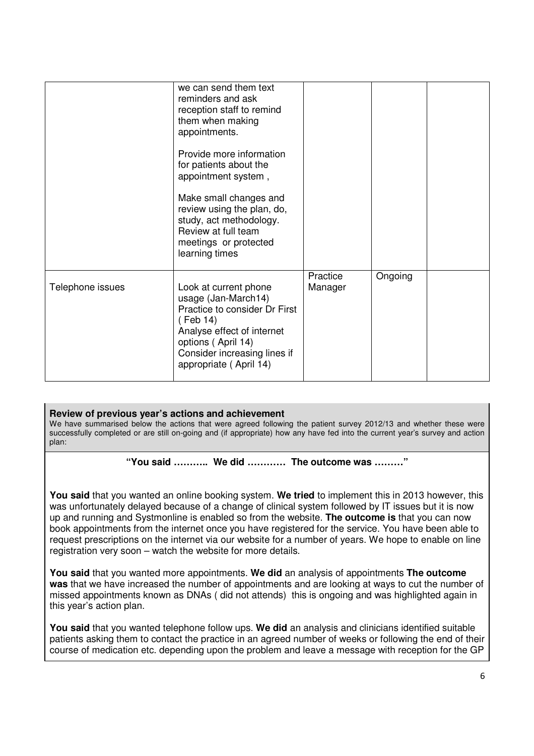|                  | we can send them text<br>reminders and ask<br>reception staff to remind<br>them when making<br>appointments.<br>Provide more information<br>for patients about the<br>appointment system,<br>Make small changes and<br>review using the plan, do,<br>study, act methodology.<br>Review at full team<br>meetings or protected<br>learning times |                     |         |  |
|------------------|------------------------------------------------------------------------------------------------------------------------------------------------------------------------------------------------------------------------------------------------------------------------------------------------------------------------------------------------|---------------------|---------|--|
| Telephone issues | Look at current phone<br>usage (Jan-March14)<br>Practice to consider Dr First<br>(Feb 14)<br>Analyse effect of internet<br>options (April 14)<br>Consider increasing lines if<br>appropriate (April 14)                                                                                                                                        | Practice<br>Manager | Ongoing |  |

## **Review of previous year's actions and achievement**

We have summarised below the actions that were agreed following the patient survey 2012/13 and whether these were successfully completed or are still on-going and (if appropriate) how any have fed into the current year's survey and action plan:

**"You said ……….. We did ………… The outcome was ………"** 

**You said** that you wanted an online booking system. **We tried** to implement this in 2013 however, this was unfortunately delayed because of a change of clinical system followed by IT issues but it is now up and running and Systmonline is enabled so from the website. **The outcome is** that you can now book appointments from the internet once you have registered for the service. You have been able to request prescriptions on the internet via our website for a number of years. We hope to enable on line registration very soon – watch the website for more details.

**You said** that you wanted more appointments. **We did** an analysis of appointments **The outcome was** that we have increased the number of appointments and are looking at ways to cut the number of missed appointments known as DNAs ( did not attends) this is ongoing and was highlighted again in this year's action plan.

**You said** that you wanted telephone follow ups. **We did** an analysis and clinicians identified suitable patients asking them to contact the practice in an agreed number of weeks or following the end of their course of medication etc. depending upon the problem and leave a message with reception for the GP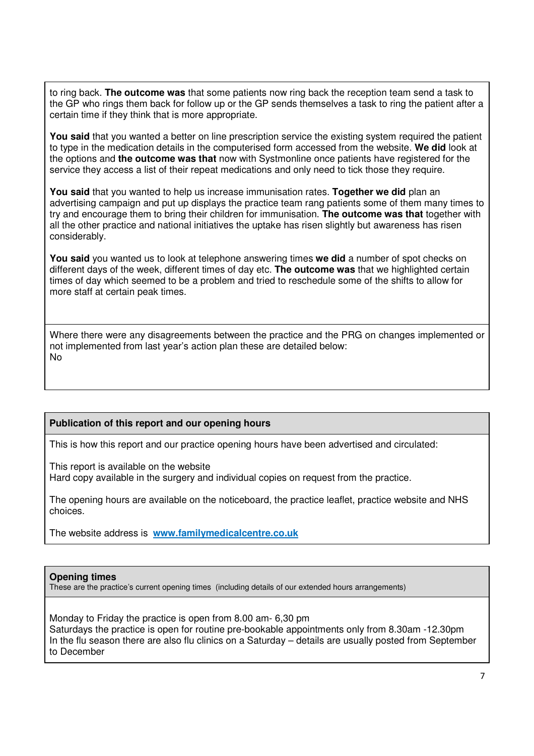to ring back. **The outcome was** that some patients now ring back the reception team send a task to the GP who rings them back for follow up or the GP sends themselves a task to ring the patient after a certain time if they think that is more appropriate.

**You said** that you wanted a better on line prescription service the existing system required the patient to type in the medication details in the computerised form accessed from the website. **We did** look at the options and **the outcome was that** now with Systmonline once patients have registered for the service they access a list of their repeat medications and only need to tick those they require.

**You said** that you wanted to help us increase immunisation rates. **Together we did** plan an advertising campaign and put up displays the practice team rang patients some of them many times to try and encourage them to bring their children for immunisation. **The outcome was that** together with all the other practice and national initiatives the uptake has risen slightly but awareness has risen considerably.

**You said** you wanted us to look at telephone answering times **we did** a number of spot checks on different days of the week, different times of day etc. **The outcome was** that we highlighted certain times of day which seemed to be a problem and tried to reschedule some of the shifts to allow for more staff at certain peak times.

Where there were any disagreements between the practice and the PRG on changes implemented or not implemented from last year's action plan these are detailed below: No

## **Publication of this report and our opening hours**

This is how this report and our practice opening hours have been advertised and circulated:

This report is available on the website

Hard copy available in the surgery and individual copies on request from the practice.

The opening hours are available on the noticeboard, the practice leaflet, practice website and NHS choices.

The website address is **www.familymedicalcentre.co.uk**

#### **Opening times**

These are the practice's current opening times (including details of our extended hours arrangements)

Monday to Friday the practice is open from 8.00 am- 6,30 pm Saturdays the practice is open for routine pre-bookable appointments only from 8.30am -12.30pm In the flu season there are also flu clinics on a Saturday – details are usually posted from September to December